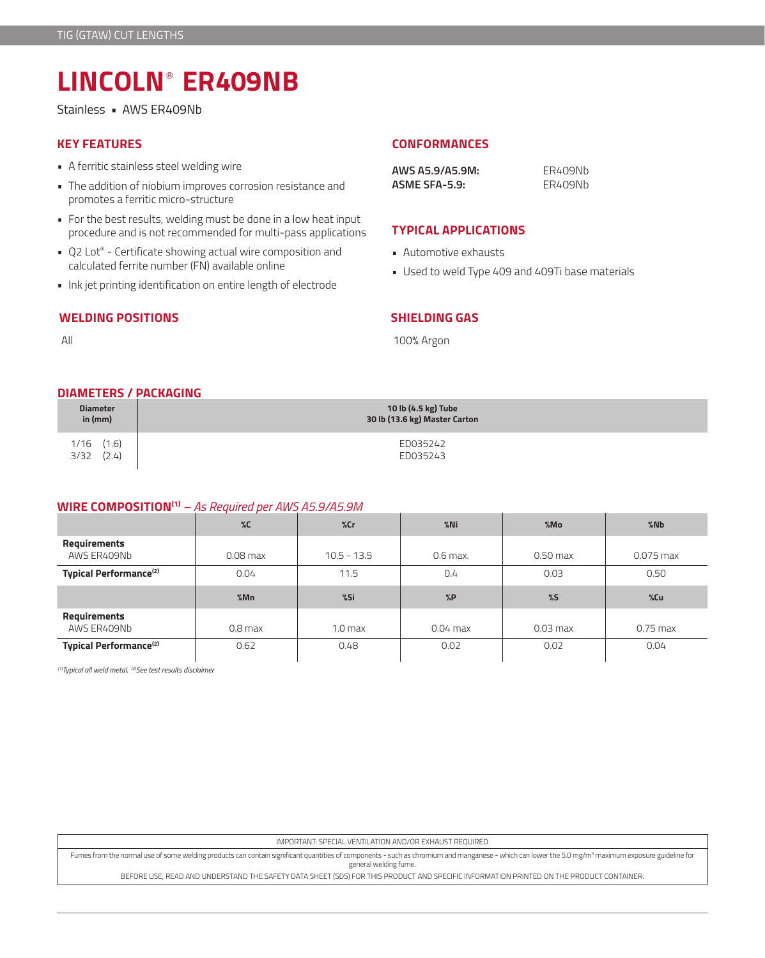# **LINCOLN**® **ER409NB**

Stainless • AWS ER409Nb

- A ferritic stainless steel welding wire
- The addition of niobium improves corrosion resistance and promotes a ferritic micro-structure
- For the best results, welding must be done in a low heat input procedure and is not recommended for multi-pass applications
- Q2 Lot® Certificate showing actual wire composition and calculated ferrite number (FN) available online
- Ink jet printing identification on entire length of electrode

## **WELDING POSITIONS**

**KEY FEATURES CONFORMANCES**

| AWS A5.9/A5.9M: | FR409Nh |
|-----------------|---------|
| ASME SFA-5.9:   | FR409Nh |

## **TYPICAL APPLICATIONS**

- Automotive exhausts
- Used to weld Type 409 and 409Ti base materials

All

### **SHIELDING GAS**

100% Argon

### **DIAMETERS / PACKAGING**

| <b>Diameter</b>                 | 10 lb (4.5 kg) Tube           |
|---------------------------------|-------------------------------|
| in $(mm)$                       | 30 lb (13.6 kg) Master Carton |
| $1/16$ $(1.6)$<br>(2.4)<br>3/32 | ED035242<br>ED035243          |

# **WIRE COMPOSITION(1)** *– As Required per AWS A5.9/A5.9M*

|                                    | $\%C$      | %cr                | $%$ Ni     | %Mo        | %Nb         |
|------------------------------------|------------|--------------------|------------|------------|-------------|
| Requirements<br>AWS ER409Nb        | $0.08$ max | $10.5 - 13.5$      | $0.6$ max. | $0.50$ max | $0.075$ max |
| Typical Performance <sup>(2)</sup> | 0.04       | 11.5               | 0.4        | 0.03       | 0.50        |
|                                    |            |                    |            |            |             |
|                                    | %Mn        | %Si                | %P         | %5         | %Cu         |
| Requirements<br>AWS ER409Nb        | $0.8$ max  | 1.0 <sub>max</sub> | $0.04$ max | $0.03$ max | $0.75$ max  |

*(1)Typical all weld metal. (2)See test results disclaimer* 

IMPORTANT: SPECIAL VENTILATION AND/OR EXHAUST REQUIRED

Fumes from the normal use of some welding products can contain significant quantities of components - such as chromium and manganese - which can lower the 5.0 mg/m3 maximum exposure guideline for general welding fume.

BEFORE USE, READ AND UNDERSTAND THE SAFETY DATA SHEET (SDS) FOR THIS PRODUCT AND SPECIFIC INFORMATION PRINTED ON THE PRODUCT CONTAINER.